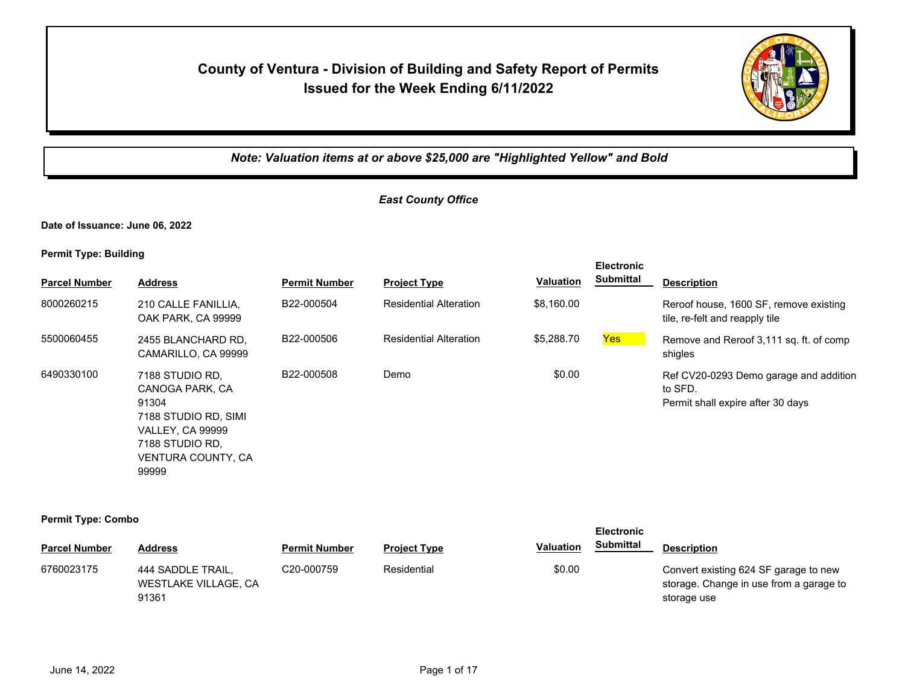## **County of Ventura - Division of Building and Safety Report of Permits Issued for the Week Ending 6/11/2022**



## *Note: Valuation items at or above \$25,000 are "Highlighted Yellow" and Bold*

## *East County Office*

**Date of Issuance: June 06, 2022**

**Permit Type: Building**

| <b>Parcel Number</b> | <b>Address</b>                                                                                                                                   | <b>Permit Number</b> | <b>Project Type</b>           | <b>Valuation</b> | <b>Electronic</b><br><b>Submittal</b> | <b>Description</b>                                                                     |
|----------------------|--------------------------------------------------------------------------------------------------------------------------------------------------|----------------------|-------------------------------|------------------|---------------------------------------|----------------------------------------------------------------------------------------|
| 8000260215           | 210 CALLE FANILLIA.<br>OAK PARK, CA 99999                                                                                                        | B22-000504           | <b>Residential Alteration</b> | \$8,160.00       |                                       | Reroof house, 1600 SF, remove existing<br>tile, re-felt and reapply tile               |
| 5500060455           | 2455 BLANCHARD RD.<br>CAMARILLO, CA 99999                                                                                                        | B22-000506           | <b>Residential Alteration</b> | \$5,288.70       | Yes                                   | Remove and Reroof 3,111 sq. ft. of comp<br>shigles                                     |
| 6490330100           | 7188 STUDIO RD.<br>CANOGA PARK, CA<br>91304<br>7188 STUDIO RD, SIMI<br><b>VALLEY, CA 99999</b><br>7188 STUDIO RD.<br>VENTURA COUNTY, CA<br>99999 | B22-000508           | Demo                          | \$0.00           |                                       | Ref CV20-0293 Demo garage and addition<br>to SFD.<br>Permit shall expire after 30 days |

#### **Permit Type: Combo**

|                      |                                                    |                         |                     |                  | <b>Electronic</b> |                                                                                                 |
|----------------------|----------------------------------------------------|-------------------------|---------------------|------------------|-------------------|-------------------------------------------------------------------------------------------------|
| <b>Parcel Number</b> | <b>Address</b>                                     | <b>Permit Number</b>    | <b>Project Type</b> | <b>Valuation</b> | <b>Submittal</b>  | <b>Description</b>                                                                              |
| 6760023175           | 444 SADDLE TRAIL,<br>WESTLAKE VILLAGE, CA<br>91361 | C <sub>20</sub> -000759 | Residential         | \$0.00           |                   | Convert existing 624 SF garage to new<br>storage. Change in use from a garage to<br>storage use |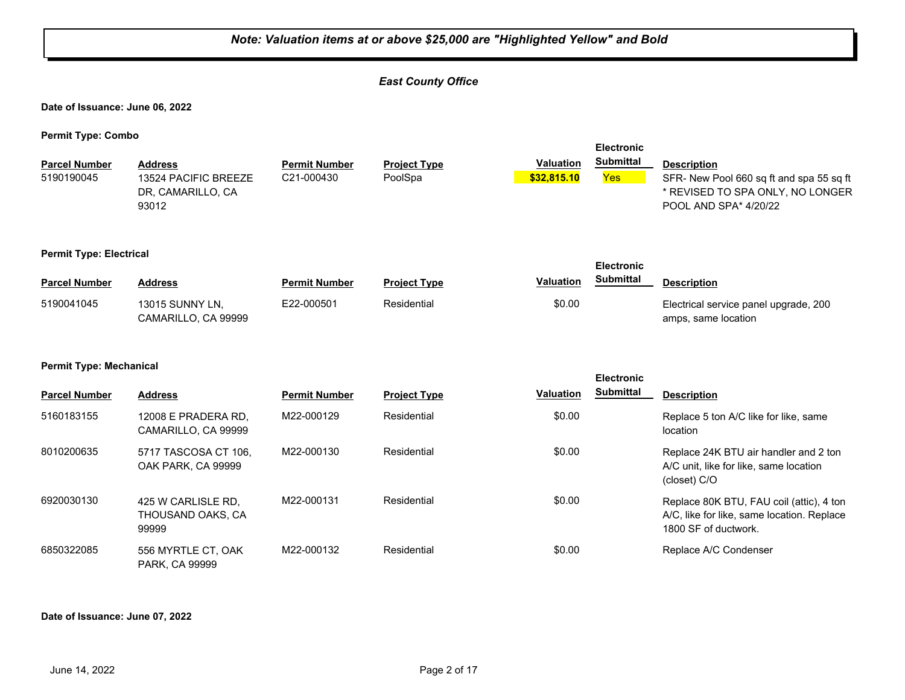|                                    | Note: Valuation items at or above \$25,000 are "Highlighted Yellow" and Bold |                                    |                                |                                 |                                              |                                                                                                                             |  |  |  |
|------------------------------------|------------------------------------------------------------------------------|------------------------------------|--------------------------------|---------------------------------|----------------------------------------------|-----------------------------------------------------------------------------------------------------------------------------|--|--|--|
|                                    |                                                                              |                                    | <b>East County Office</b>      |                                 |                                              |                                                                                                                             |  |  |  |
| Date of Issuance: June 06, 2022    |                                                                              |                                    |                                |                                 |                                              |                                                                                                                             |  |  |  |
| <b>Permit Type: Combo</b>          |                                                                              |                                    |                                |                                 |                                              |                                                                                                                             |  |  |  |
| <b>Parcel Number</b><br>5190190045 | <b>Address</b><br>13524 PACIFIC BREEZE<br>DR, CAMARILLO, CA<br>93012         | <b>Permit Number</b><br>C21-000430 | <b>Project Type</b><br>PoolSpa | <b>Valuation</b><br>\$32,815.10 | <b>Electronic</b><br><b>Submittal</b><br>Yes | <b>Description</b><br>SFR- New Pool 660 sq ft and spa 55 sq ft<br>* REVISED TO SPA ONLY, NO LONGER<br>POOL AND SPA* 4/20/22 |  |  |  |
| <b>Permit Type: Electrical</b>     |                                                                              |                                    |                                |                                 | <b>Electronic</b>                            |                                                                                                                             |  |  |  |
| <b>Parcel Number</b>               | <b>Address</b>                                                               | <b>Permit Number</b>               | <b>Project Type</b>            | Valuation                       | <b>Submittal</b>                             | <b>Description</b>                                                                                                          |  |  |  |
| 5190041045                         | 13015 SUNNY LN,<br>CAMARILLO, CA 99999                                       | E22-000501                         | Residential                    | \$0.00                          |                                              | Electrical service panel upgrade, 200<br>amps, same location                                                                |  |  |  |
| <b>Permit Type: Mechanical</b>     |                                                                              |                                    |                                |                                 | <b>Electronic</b>                            |                                                                                                                             |  |  |  |
| <b>Parcel Number</b>               | <b>Address</b>                                                               | <b>Permit Number</b>               | <b>Project Type</b>            | <b>Valuation</b>                | <b>Submittal</b>                             | <b>Description</b>                                                                                                          |  |  |  |
| 5160183155                         | 12008 E PRADERA RD,<br>CAMARILLO, CA 99999                                   | M22-000129                         | Residential                    | \$0.00                          |                                              | Replace 5 ton A/C like for like, same<br>location                                                                           |  |  |  |
| 8010200635                         | 5717 TASCOSA CT 106,<br>OAK PARK, CA 99999                                   | M22-000130                         | Residential                    | \$0.00                          |                                              | Replace 24K BTU air handler and 2 ton<br>A/C unit, like for like, same location<br>(closet) C/O                             |  |  |  |
| 6920030130                         | 425 W CARLISLE RD,<br>THOUSAND OAKS, CA<br>99999                             | M22-000131                         | Residential                    | \$0.00                          |                                              | Replace 80K BTU, FAU coil (attic), 4 ton<br>A/C, like for like, same location. Replace<br>1800 SF of ductwork.              |  |  |  |
| 6850322085                         | 556 MYRTLE CT, OAK<br>PARK, CA 99999                                         | M22-000132                         | Residential                    | \$0.00                          |                                              | Replace A/C Condenser                                                                                                       |  |  |  |

٦L

**Date of Issuance: June 07, 2022**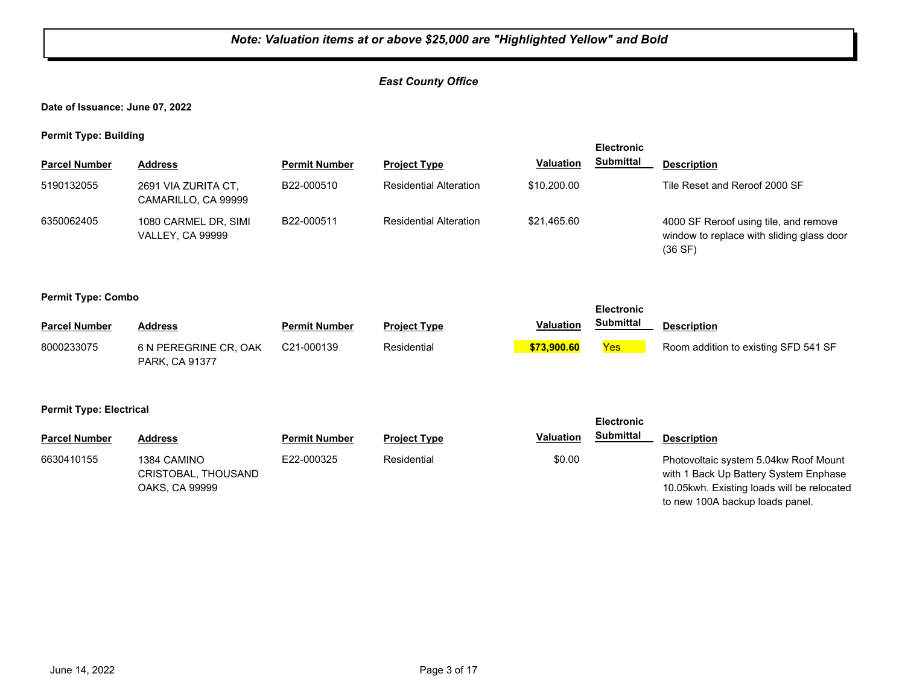#### *East County Office*

**Date of Issuance: June 07, 2022**

**Permit Type: Building**

| . .                  |                                                 |                      |                               |                  | <b>Electronic</b> |                                                                                                |
|----------------------|-------------------------------------------------|----------------------|-------------------------------|------------------|-------------------|------------------------------------------------------------------------------------------------|
| <b>Parcel Number</b> | <b>Address</b>                                  | <b>Permit Number</b> | <b>Project Type</b>           | <b>Valuation</b> | <b>Submittal</b>  | <b>Description</b>                                                                             |
| 5190132055           | 2691 VIA ZURITA CT,<br>CAMARILLO, CA 99999      | B22-000510           | <b>Residential Alteration</b> | \$10,200.00      |                   | Tile Reset and Reroof 2000 SF                                                                  |
| 6350062405           | 1080 CARMEL DR, SIMI<br><b>VALLEY, CA 99999</b> | B22-000511           | <b>Residential Alteration</b> | \$21.465.60      |                   | 4000 SF Reroof using tile, and remove<br>window to replace with sliding glass door<br>(36 S F) |

#### **Permit Type: Combo**

|                      |                                         |                      | <b>Electronic</b>   |                  |            |                                      |
|----------------------|-----------------------------------------|----------------------|---------------------|------------------|------------|--------------------------------------|
| <b>Parcel Number</b> | <b>Address</b>                          | <b>Permit Number</b> | <b>Project Type</b> | <b>Valuation</b> | Submittal  | <b>Description</b>                   |
| 8000233075           | 6 N PEREGRINE CR, OAK<br>PARK, CA 91377 | C21-000139           | Residential         | \$73,900.60      | <b>Yes</b> | Room addition to existing SFD 541 SF |

**Permit Type: Electrical**

| --                   |                                                      |                      |                     |                  | <b>Electronic</b> |                                                                                                                                                                 |
|----------------------|------------------------------------------------------|----------------------|---------------------|------------------|-------------------|-----------------------------------------------------------------------------------------------------------------------------------------------------------------|
| <b>Parcel Number</b> | Address                                              | <b>Permit Number</b> | <b>Project Type</b> | <b>Valuation</b> | <b>Submittal</b>  | <b>Description</b>                                                                                                                                              |
| 6630410155           | 1384 CAMINO<br>CRISTOBAL, THOUSAND<br>OAKS, CA 99999 | E22-000325           | Residential         | \$0.00           |                   | Photovoltaic system 5.04kw Roof Mount<br>with 1 Back Up Battery System Enphase<br>10.05kwh. Existing loads will be relocated<br>to new 100A backup loads panel. |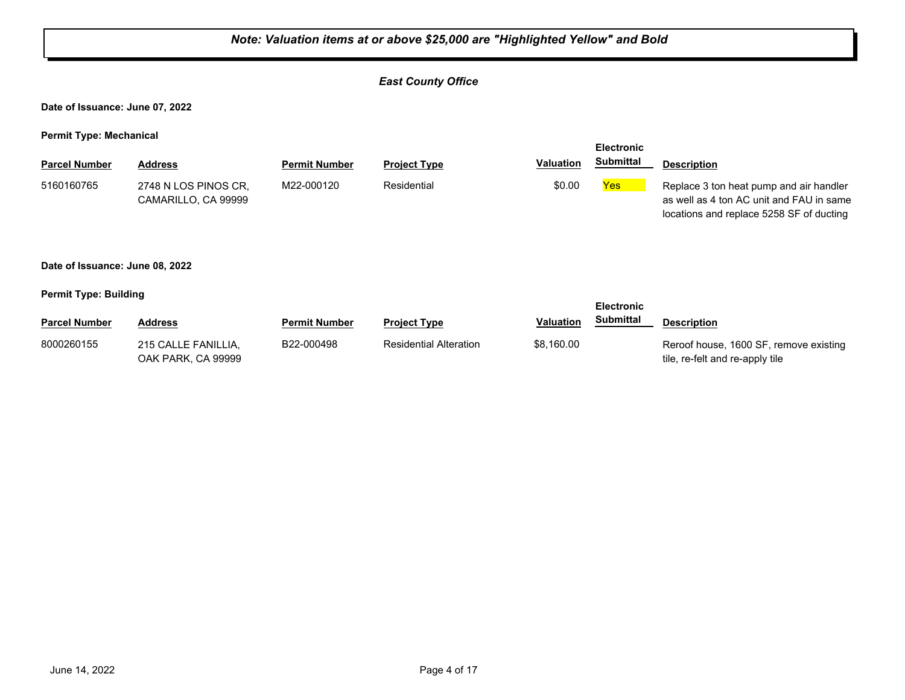#### *East County Office*

**Date of Issuance: June 07, 2022**

**Permit Type: Mechanical**

|                      |                                             |                      |                     |                  | <b>Electronic</b> |                                                                                                                                 |
|----------------------|---------------------------------------------|----------------------|---------------------|------------------|-------------------|---------------------------------------------------------------------------------------------------------------------------------|
| <b>Parcel Number</b> | Address                                     | <b>Permit Number</b> | <b>Project Type</b> | <b>Valuation</b> | Submittal         | <b>Description</b>                                                                                                              |
| 5160160765           | 2748 N LOS PINOS CR,<br>CAMARILLO, CA 99999 | M22-000120           | Residential         | \$0.00           | <b>Yes</b>        | Replace 3 ton heat pump and air handler<br>as well as 4 ton AC unit and FAU in same<br>locations and replace 5258 SF of ducting |

#### **Date of Issuance: June 08, 2022**

**Permit Type: Building**

| - -                  |                                           |                      |                               |                  | <b>Electronic</b> |                                                                           |
|----------------------|-------------------------------------------|----------------------|-------------------------------|------------------|-------------------|---------------------------------------------------------------------------|
| <b>Parcel Number</b> | Address                                   | <b>Permit Number</b> | <b>Project Type</b>           | <b>Valuation</b> | Submittal         | <b>Description</b>                                                        |
| 8000260155           | 215 CALLE FANILLIA,<br>OAK PARK, CA 99999 | B22-000498           | <b>Residential Alteration</b> | \$8,160.00       |                   | Reroof house, 1600 SF, remove existing<br>tile, re-felt and re-apply tile |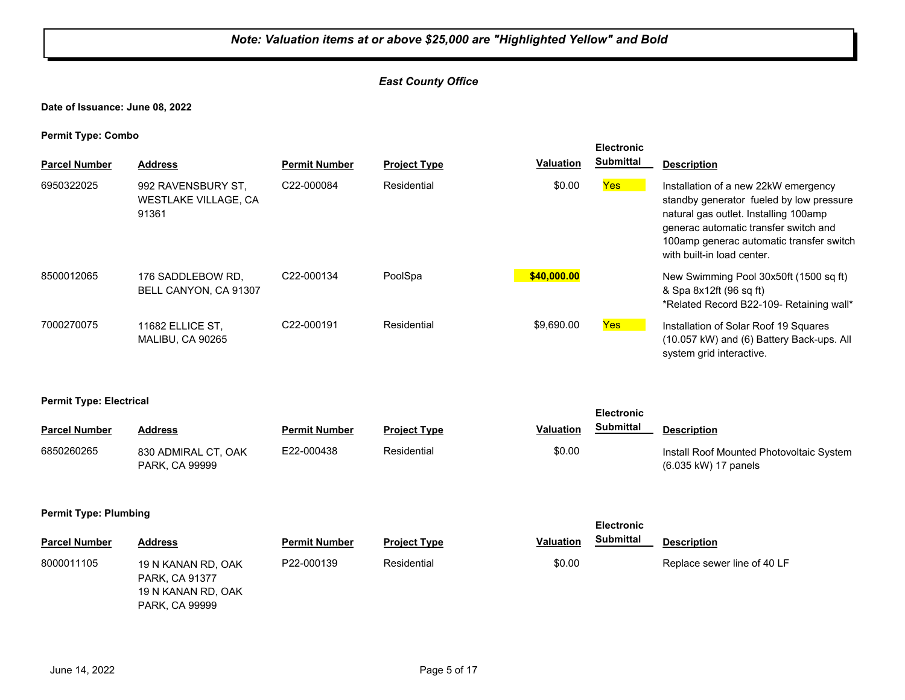#### *East County Office*

**Date of Issuance: June 08, 2022**

**Permit Type: Combo**

| <b>Parcel Number</b> | <b>Address</b>                                             | <b>Permit Number</b> | <b>Project Type</b> | Valuation   | <b>Electronic</b><br><b>Submittal</b> | <b>Description</b>                                                                                                                                                                                                                           |
|----------------------|------------------------------------------------------------|----------------------|---------------------|-------------|---------------------------------------|----------------------------------------------------------------------------------------------------------------------------------------------------------------------------------------------------------------------------------------------|
| 6950322025           | 992 RAVENSBURY ST.<br><b>WESTLAKE VILLAGE, CA</b><br>91361 | C22-000084           | Residential         | \$0.00      | Yes                                   | Installation of a new 22kW emergency<br>standby generator fueled by low pressure<br>natural gas outlet. Installing 100amp<br>generac automatic transfer switch and<br>100amp generac automatic transfer switch<br>with built-in load center. |
| 8500012065           | 176 SADDLEBOW RD.<br>BELL CANYON, CA 91307                 | C22-000134           | PoolSpa             | \$40,000.00 |                                       | New Swimming Pool 30x50ft (1500 sq ft)<br>& Spa 8x12ft (96 sq ft)<br>*Related Record B22-109- Retaining wall*                                                                                                                                |
| 7000270075           | 11682 ELLICE ST.<br>MALIBU, CA 90265                       | C22-000191           | Residential         | \$9,690.00  | Yes                                   | Installation of Solar Roof 19 Squares<br>(10.057 kW) and (6) Battery Back-ups. All<br>system grid interactive.                                                                                                                               |

#### **Permit Type: Electrical**

| - -                  |                                              |                      |                     |                  | <b>Electronic</b> |                                                                  |
|----------------------|----------------------------------------------|----------------------|---------------------|------------------|-------------------|------------------------------------------------------------------|
| <b>Parcel Number</b> | Address                                      | <b>Permit Number</b> | <b>Project Type</b> | <b>Valuation</b> | <b>Submittal</b>  | <b>Description</b>                                               |
| 6850260265           | 830 ADMIRAL CT, OAK<br><b>PARK, CA 99999</b> | E22-000438           | Residential         | \$0.00           |                   | Install Roof Mounted Photovoltaic System<br>(6.035 kW) 17 panels |

#### **Permit Type: Plumbing**

PARK, CA 99999

|                      |                                                            |                      |                     |                  | <b>Electronic</b> |                             |
|----------------------|------------------------------------------------------------|----------------------|---------------------|------------------|-------------------|-----------------------------|
| <b>Parcel Number</b> | <b>Address</b>                                             | <b>Permit Number</b> | <b>Project Type</b> | <b>Valuation</b> | <b>Submittal</b>  | <b>Description</b>          |
| 8000011105           | 19 N KANAN RD, OAK<br>PARK, CA 91377<br>19 N KANAN RD, OAK | P22-000139           | Residential         | \$0.00           |                   | Replace sewer line of 40 LF |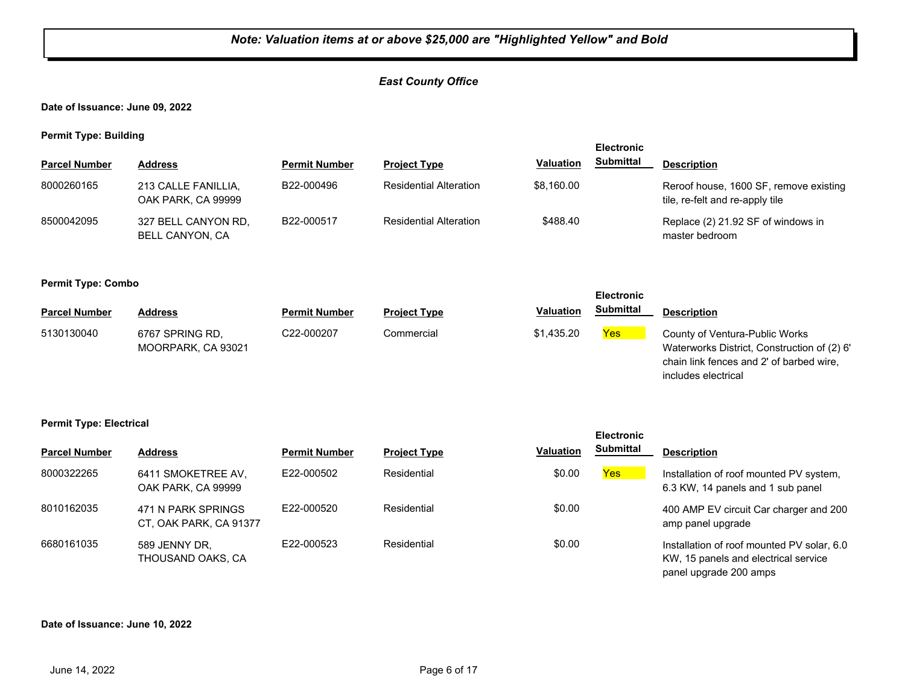#### *East County Office*

**Date of Issuance: June 09, 2022**

**Permit Type: Building**

| - -                  |                                           |                      |                               |                  | <b>Electronic</b> |                                                                           |
|----------------------|-------------------------------------------|----------------------|-------------------------------|------------------|-------------------|---------------------------------------------------------------------------|
| <b>Parcel Number</b> | Address                                   | <b>Permit Number</b> | <b>Project Type</b>           | <b>Valuation</b> | <b>Submittal</b>  | <b>Description</b>                                                        |
| 8000260165           | 213 CALLE FANILLIA.<br>OAK PARK, CA 99999 | B22-000496           | <b>Residential Alteration</b> | \$8,160.00       |                   | Reroof house, 1600 SF, remove existing<br>tile, re-felt and re-apply tile |
| 8500042095           | 327 BELL CANYON RD,<br>BELL CANYON, CA    | B22-000517           | <b>Residential Alteration</b> | \$488.40         |                   | Replace (2) 21.92 SF of windows in<br>master bedroom                      |

#### **Permit Type: Combo**

|                      |                                       |                      |                     |                  | <b>Electronic</b> |                                                                                                                           |
|----------------------|---------------------------------------|----------------------|---------------------|------------------|-------------------|---------------------------------------------------------------------------------------------------------------------------|
| <b>Parcel Number</b> | Address                               | <b>Permit Number</b> | <b>Project Type</b> | <b>Valuation</b> | Submittal         | <b>Description</b>                                                                                                        |
| 5130130040           | 6767 SPRING RD.<br>MOORPARK, CA 93021 | C22-000207           | Commercial          | \$1.435.20       | Yes               | County of Ventura-Public Works<br>Waterworks District, Construction of (2) 6'<br>chain link fences and 2' of barbed wire, |

includes electrical

**Electronic** 

#### **Permit Type: Electrical**

| <b>Parcel Number</b> | <b>Address</b>                               | <b>Permit Number</b> | <b>Project Type</b> | <b>Valuation</b> | <b>Submittal</b> | <b>Description</b>                                                                                           |
|----------------------|----------------------------------------------|----------------------|---------------------|------------------|------------------|--------------------------------------------------------------------------------------------------------------|
| 8000322265           | 6411 SMOKETREE AV,<br>OAK PARK, CA 99999     | E22-000502           | Residential         | \$0.00           | Yes              | Installation of roof mounted PV system,<br>6.3 KW, 14 panels and 1 sub panel                                 |
| 8010162035           | 471 N PARK SPRINGS<br>CT, OAK PARK, CA 91377 | E22-000520           | Residential         | \$0.00           |                  | 400 AMP EV circuit Car charger and 200<br>amp panel upgrade                                                  |
| 6680161035           | 589 JENNY DR.<br>THOUSAND OAKS, CA           | E22-000523           | Residential         | \$0.00           |                  | Installation of roof mounted PV solar, 6.0<br>KW, 15 panels and electrical service<br>panel upgrade 200 amps |

#### **Date of Issuance: June 10, 2022**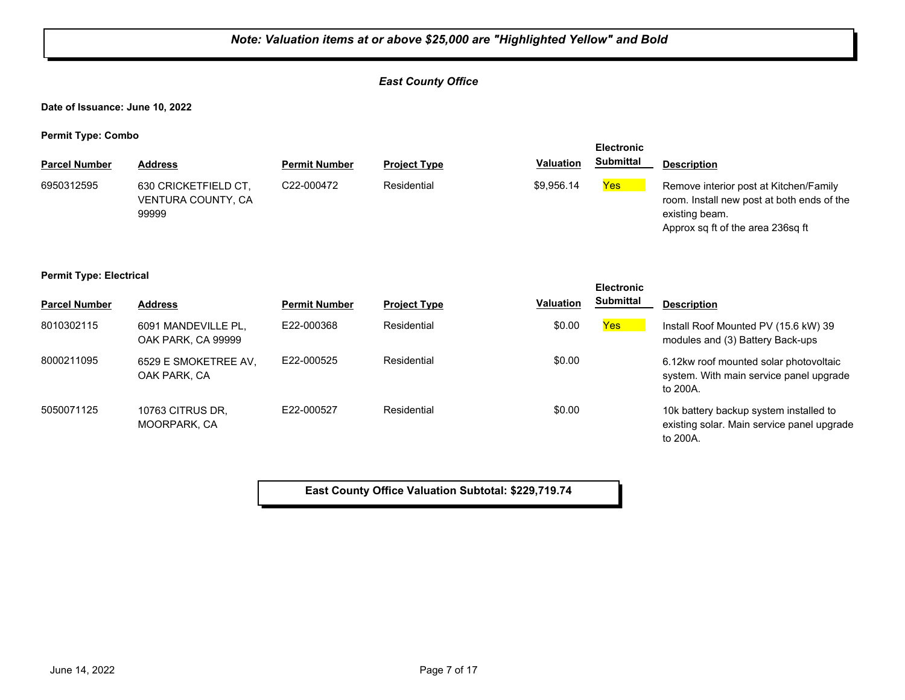#### *East County Office*

**Date of Issuance: June 10, 2022**

**Permit Type: Combo**

| <b>Parcel Number</b> | <b>Address</b>                                      | <b>Permit Number</b>    | <b>Project Type</b> | <b>Valuation</b> | <b>Electronic</b><br><b>Submittal</b> | <b>Description</b>                                                                                                                          |
|----------------------|-----------------------------------------------------|-------------------------|---------------------|------------------|---------------------------------------|---------------------------------------------------------------------------------------------------------------------------------------------|
| 6950312595           | 630 CRICKETFIELD CT,<br>VENTURA COUNTY, CA<br>99999 | C <sub>22</sub> -000472 | Residential         | \$9.956.14       | Yes                                   | Remove interior post at Kitchen/Family<br>room. Install new post at both ends of the<br>existing beam.<br>Approx sq ft of the area 236sq ft |

#### **Permit Type: Electrical**

|                      |                                           |                      |                     |                  | <b>Electronic</b> |                                                                                                  |
|----------------------|-------------------------------------------|----------------------|---------------------|------------------|-------------------|--------------------------------------------------------------------------------------------------|
| <b>Parcel Number</b> | <b>Address</b>                            | <b>Permit Number</b> | <b>Project Type</b> | <b>Valuation</b> | <b>Submittal</b>  | <b>Description</b>                                                                               |
| 8010302115           | 6091 MANDEVILLE PL,<br>OAK PARK, CA 99999 | E22-000368           | Residential         | \$0.00           | Yes <sub>o</sub>  | Install Roof Mounted PV (15.6 kW) 39<br>modules and (3) Battery Back-ups                         |
| 8000211095           | 6529 E SMOKETREE AV,<br>OAK PARK, CA      | F22-000525           | Residential         | \$0.00           |                   | 6.12kw roof mounted solar photovoltaic<br>system. With main service panel upgrade<br>to 200A.    |
| 5050071125           | 10763 CITRUS DR.<br>MOORPARK, CA          | E22-000527           | Residential         | \$0.00           |                   | 10k battery backup system installed to<br>existing solar. Main service panel upgrade<br>to 200A. |

**East County Office Valuation Subtotal: \$229,719.74**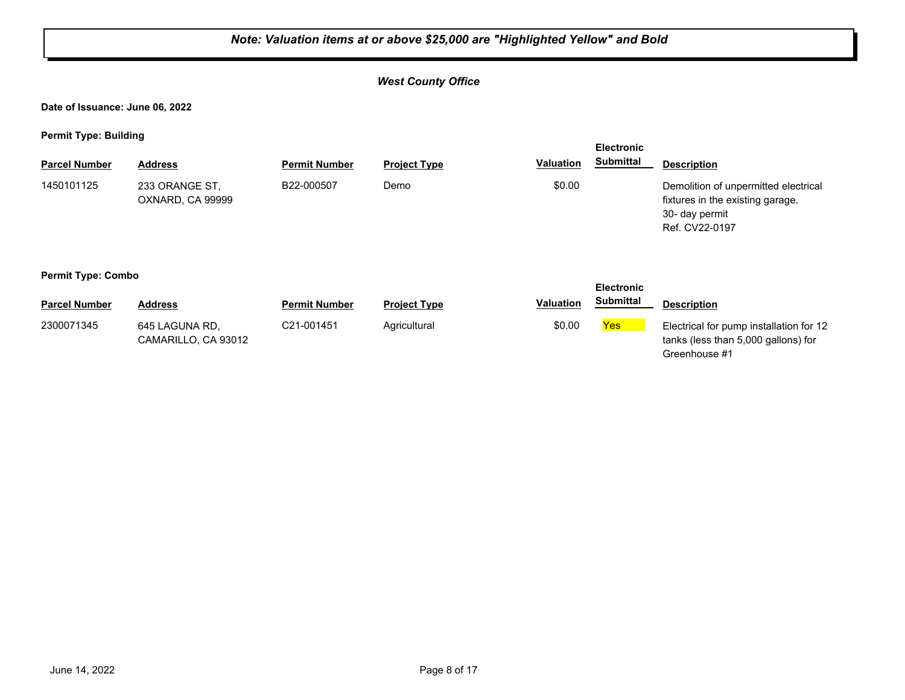#### *West County Office*

**Date of Issuance: June 06, 2022**

**Permit Type: Building**

| . .                       | -                                  |                      |                     |                  | <b>Electronic</b>  |                                                                                                              |
|---------------------------|------------------------------------|----------------------|---------------------|------------------|--------------------|--------------------------------------------------------------------------------------------------------------|
| <b>Parcel Number</b>      | <b>Address</b>                     | <b>Permit Number</b> | <b>Project Type</b> | Valuation        | <b>Submittal</b>   | <b>Description</b>                                                                                           |
| 1450101125                | 233 ORANGE ST,<br>OXNARD, CA 99999 | B22-000507           | Demo                | \$0.00           |                    | Demolition of unpermitted electrical<br>fixtures in the existing garage.<br>30- day permit<br>Ref. CV22-0197 |
| <b>Permit Type: Combo</b> |                                    |                      |                     |                  |                    |                                                                                                              |
|                           |                                    |                      |                     |                  | <b>Electronic</b>  |                                                                                                              |
| <b>Parcel Number</b>      | <b>Address</b>                     | <b>Permit Number</b> | <b>Project Type</b> | <b>Valuation</b> | <b>Submittal</b>   | <b>Description</b>                                                                                           |
| $000007494E$              | 0.15110111100                      | 0.24004454           | $A$ ariaultural     | 0000             | $V_{\alpha\alpha}$ | $\Box$ and $\Box$ from an and the full stress from $\Box$                                                    |

|                      |                                       |                      |                     |                  | <b>EIGCUOIIIC</b> |                                                                                                 |
|----------------------|---------------------------------------|----------------------|---------------------|------------------|-------------------|-------------------------------------------------------------------------------------------------|
| <b>Parcel Number</b> | <b>Address</b>                        | <b>Permit Number</b> | <b>Project Type</b> | <b>Valuation</b> | <b>Submittal</b>  | <b>Description</b>                                                                              |
| 2300071345           | 645 LAGUNA RD.<br>CAMARILLO, CA 93012 | C21-001451           | Agricultural        | \$0.00           | Yes               | Electrical for pump installation for 12<br>tanks (less than 5,000 gallons) for<br>Greenhouse #1 |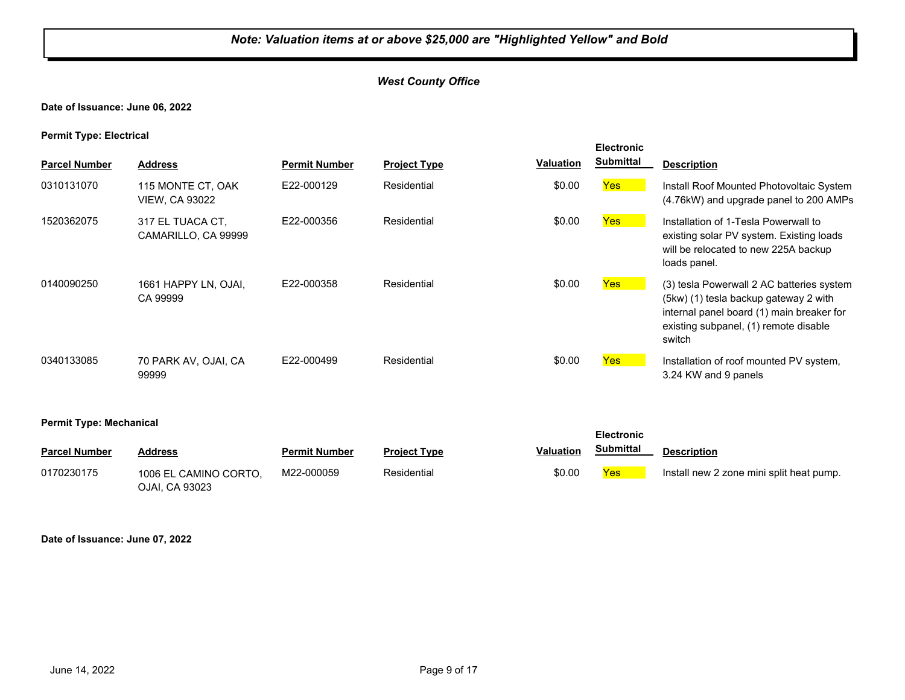#### *West County Office*

#### **Date of Issuance: June 06, 2022**

**Permit Type: Electrical**

|                                |                                            |                      |                     |                  | <b>Electronic</b> |                                                                                                                                                                                    |
|--------------------------------|--------------------------------------------|----------------------|---------------------|------------------|-------------------|------------------------------------------------------------------------------------------------------------------------------------------------------------------------------------|
| <b>Parcel Number</b>           | <b>Address</b>                             | <b>Permit Number</b> | <b>Project Type</b> | <b>Valuation</b> | <b>Submittal</b>  | <b>Description</b>                                                                                                                                                                 |
| 0310131070                     | 115 MONTE CT, OAK<br><b>VIEW, CA 93022</b> | E22-000129           | Residential         | \$0.00           | <b>Yes</b>        | Install Roof Mounted Photovoltaic System<br>(4.76kW) and upgrade panel to 200 AMPs                                                                                                 |
| 1520362075                     | 317 EL TUACA CT.<br>CAMARILLO, CA 99999    | E22-000356           | Residential         | \$0.00           | <b>Yes</b>        | Installation of 1-Tesla Powerwall to<br>existing solar PV system. Existing loads<br>will be relocated to new 225A backup<br>loads panel.                                           |
| 0140090250                     | 1661 HAPPY LN, OJAI,<br>CA 99999           | E22-000358           | Residential         | \$0.00           | Yes               | (3) tesla Powerwall 2 AC batteries system<br>(5kw) (1) tesla backup gateway 2 with<br>internal panel board (1) main breaker for<br>existing subpanel, (1) remote disable<br>switch |
| 0340133085                     | 70 PARK AV, OJAI, CA<br>99999              | E22-000499           | Residential         | \$0.00           | <b>Yes</b>        | Installation of roof mounted PV system,<br>3.24 KW and 9 panels                                                                                                                    |
| <b>Permit Type: Mechanical</b> |                                            |                      |                     |                  | <b>Electronic</b> |                                                                                                                                                                                    |
| <b>Parcel Number</b>           | <b>Address</b>                             | <b>Permit Number</b> | <b>Project Type</b> | <b>Valuation</b> | <b>Submittal</b>  | <b>Description</b>                                                                                                                                                                 |
| 0170230175                     | 1006 EL CAMINO CORTO.                      | M22-000059           | Residential         | \$0.00           | Yes               | Install new 2 zone mini split heat pump.                                                                                                                                           |

**Date of Issuance: June 07, 2022**

OJAI, CA 93023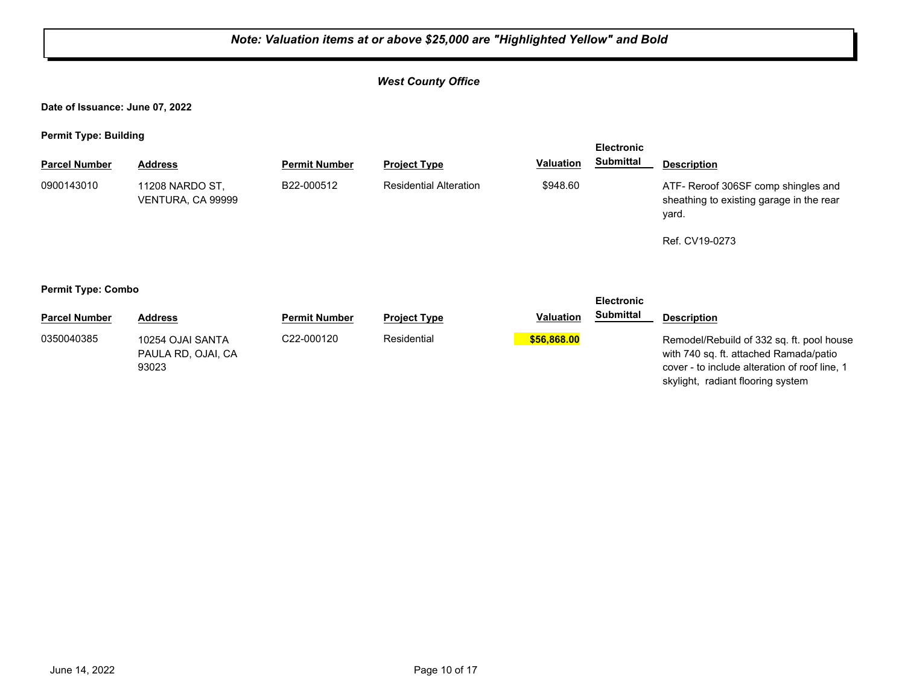#### *West County Office*

**Date of Issuance: June 07, 2022**

**Permit Type: Building**

|                      |                                      |                      |                               |                  | <b>Electronic</b> |                                                                                          |
|----------------------|--------------------------------------|----------------------|-------------------------------|------------------|-------------------|------------------------------------------------------------------------------------------|
| <b>Parcel Number</b> | <b>Address</b>                       | <b>Permit Number</b> | <b>Project Type</b>           | <b>Valuation</b> | Submittal         | <b>Description</b>                                                                       |
| 0900143010           | 11208 NARDO ST,<br>VENTURA, CA 99999 | B22-000512           | <b>Residential Alteration</b> | \$948.60         |                   | ATF- Reroof 306SF comp shingles and<br>sheathing to existing garage in the rear<br>yard. |
|                      |                                      |                      |                               |                  |                   | Ref. CV19-0273                                                                           |
|                      |                                      |                      |                               |                  |                   |                                                                                          |

#### **Permit Type: Combo**

|                      |                                                 |                      |                     |                  | LIVVU VIIIV      |                                                                                                                                                                           |
|----------------------|-------------------------------------------------|----------------------|---------------------|------------------|------------------|---------------------------------------------------------------------------------------------------------------------------------------------------------------------------|
| <b>Parcel Number</b> | Address                                         | <b>Permit Number</b> | <b>Project Type</b> | <b>Valuation</b> | <b>Submittal</b> | <b>Description</b>                                                                                                                                                        |
| 0350040385           | 10254 OJAI SANTA<br>PAULA RD, OJAI, CA<br>93023 | C22-000120           | Residential         | \$56,868,00      |                  | Remodel/Rebuild of 332 sq. ft. pool house<br>with 740 sq. ft. attached Ramada/patio<br>cover - to include alteration of roof line, 1<br>skylight, radiant flooring system |

**Electronic**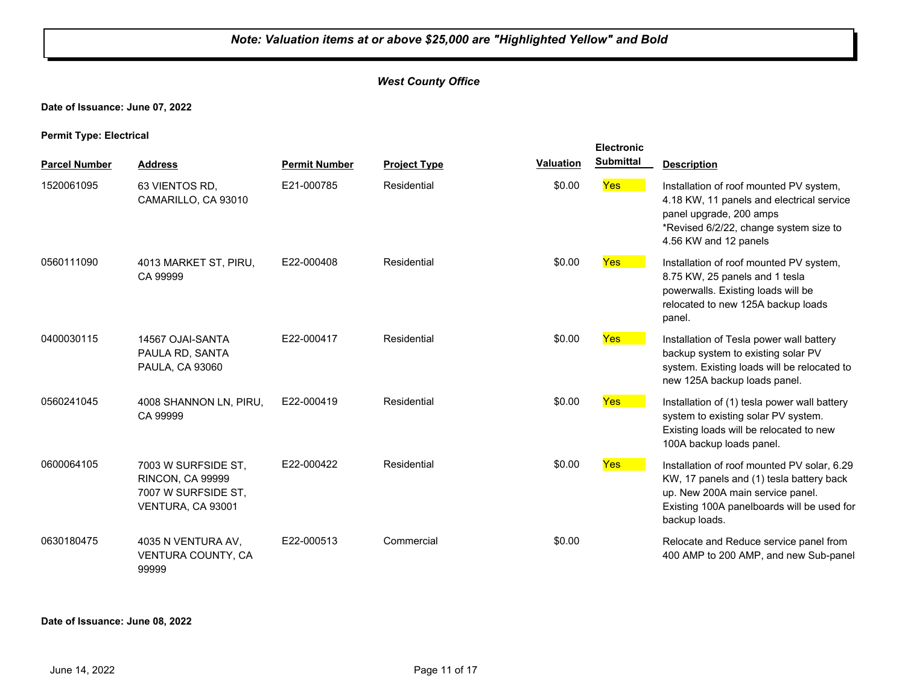#### *West County Office*

#### **Date of Issuance: June 07, 2022**

**Permit Type: Electrical**

|                      |                                                                                            |                      |                     |                  | <b>Electronic</b> |                                                                                                                                                                                            |
|----------------------|--------------------------------------------------------------------------------------------|----------------------|---------------------|------------------|-------------------|--------------------------------------------------------------------------------------------------------------------------------------------------------------------------------------------|
| <b>Parcel Number</b> | <b>Address</b>                                                                             | <b>Permit Number</b> | <b>Project Type</b> | <b>Valuation</b> | <b>Submittal</b>  | <b>Description</b>                                                                                                                                                                         |
| 1520061095           | 63 VIENTOS RD,<br>CAMARILLO, CA 93010                                                      | E21-000785           | Residential         | \$0.00           | <b>Yes</b>        | Installation of roof mounted PV system,<br>4.18 KW, 11 panels and electrical service<br>panel upgrade, 200 amps<br>*Revised 6/2/22, change system size to<br>4.56 KW and 12 panels         |
| 0560111090           | 4013 MARKET ST, PIRU,<br>CA 99999                                                          | E22-000408           | Residential         | \$0.00           | Yes               | Installation of roof mounted PV system,<br>8.75 KW, 25 panels and 1 tesla<br>powerwalls. Existing loads will be<br>relocated to new 125A backup loads<br>panel.                            |
| 0400030115           | 14567 OJAI-SANTA<br>PAULA RD, SANTA<br>PAULA, CA 93060                                     | E22-000417           | Residential         | \$0.00           | <b>Yes</b>        | Installation of Tesla power wall battery<br>backup system to existing solar PV<br>system. Existing loads will be relocated to<br>new 125A backup loads panel.                              |
| 0560241045           | 4008 SHANNON LN, PIRU,<br>CA 99999                                                         | E22-000419           | Residential         | \$0.00           | <b>Yes</b>        | Installation of (1) tesla power wall battery<br>system to existing solar PV system.<br>Existing loads will be relocated to new<br>100A backup loads panel.                                 |
| 0600064105           | 7003 W SURFSIDE ST.<br><b>RINCON, CA 99999</b><br>7007 W SURFSIDE ST,<br>VENTURA, CA 93001 | E22-000422           | Residential         | \$0.00           | Yes               | Installation of roof mounted PV solar, 6.29<br>KW, 17 panels and (1) tesla battery back<br>up. New 200A main service panel.<br>Existing 100A panelboards will be used for<br>backup loads. |
| 0630180475           | 4035 N VENTURA AV,<br>VENTURA COUNTY, CA<br>99999                                          | E22-000513           | Commercial          | \$0.00           |                   | Relocate and Reduce service panel from<br>400 AMP to 200 AMP, and new Sub-panel                                                                                                            |

**Date of Issuance: June 08, 2022**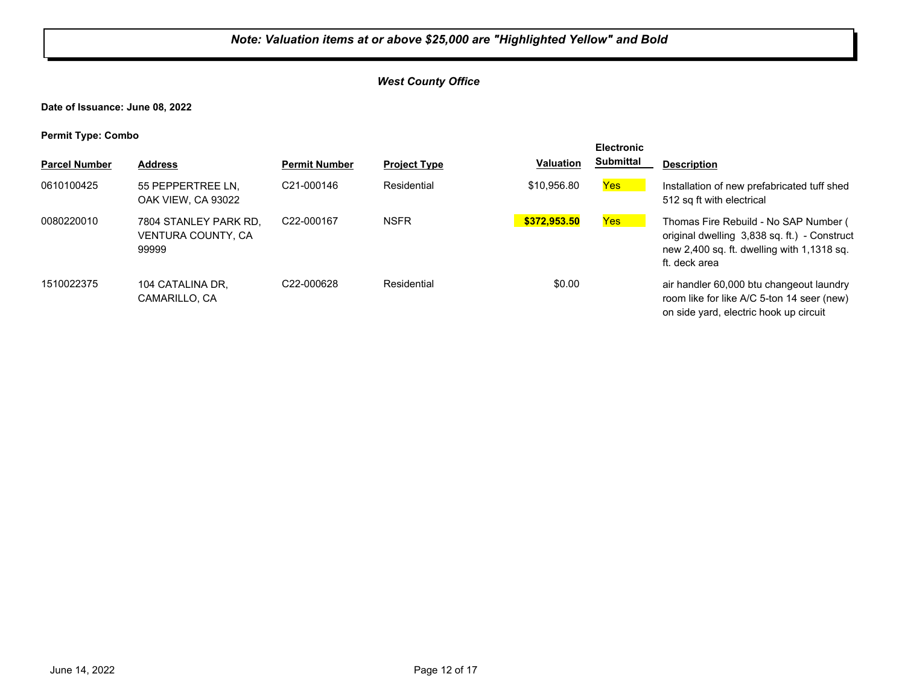#### *West County Office*

**Date of Issuance: June 08, 2022**

**Permit Type: Combo**

|                      |                                                      |                         |                     |                  | <b>Electronic</b> |                                                                                                                                                      |
|----------------------|------------------------------------------------------|-------------------------|---------------------|------------------|-------------------|------------------------------------------------------------------------------------------------------------------------------------------------------|
| <b>Parcel Number</b> | <b>Address</b>                                       | <b>Permit Number</b>    | <b>Project Type</b> | <b>Valuation</b> | <b>Submittal</b>  | <b>Description</b>                                                                                                                                   |
| 0610100425           | 55 PEPPERTREE LN.<br>OAK VIEW. CA 93022              | C <sub>21</sub> -000146 | Residential         | \$10,956.80      | <b>Yes</b>        | Installation of new prefabricated tuff shed<br>512 sq ft with electrical                                                                             |
| 0080220010           | 7804 STANLEY PARK RD.<br>VENTURA COUNTY, CA<br>99999 | C22-000167              | <b>NSFR</b>         | \$372.953.50     | Yes               | Thomas Fire Rebuild - No SAP Number (<br>original dwelling 3,838 sq. ft.) - Construct<br>new 2,400 sq. ft. dwelling with 1,1318 sq.<br>ft. deck area |
| 1510022375           | 104 CATALINA DR.<br>CAMARILLO, CA                    | C22-000628              | Residential         | \$0.00           |                   | air handler 60,000 btu changeout laundry<br>room like for like A/C 5-ton 14 seer (new)<br>on side yard, electric hook up circuit                     |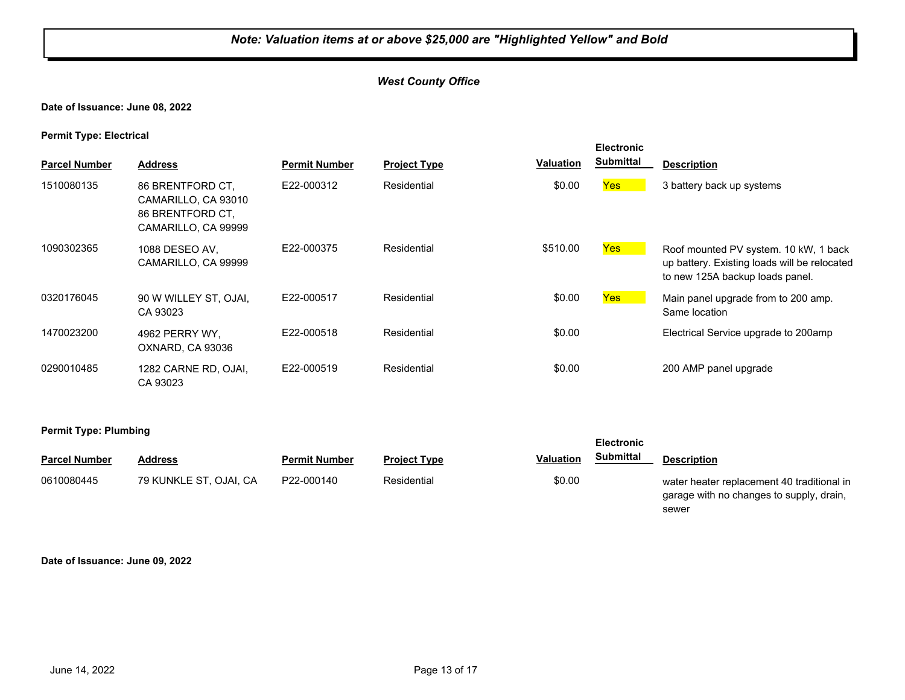#### *West County Office*

#### **Date of Issuance: June 08, 2022**

**Permit Type: Electrical**

| <b>Parcel Number</b> | <b>Address</b>                                                                     | <b>Permit Number</b> | <b>Project Type</b> | <b>Valuation</b> | <b>Electronic</b><br><b>Submittal</b> | <b>Description</b>                                                                                                       |
|----------------------|------------------------------------------------------------------------------------|----------------------|---------------------|------------------|---------------------------------------|--------------------------------------------------------------------------------------------------------------------------|
| 1510080135           | 86 BRENTFORD CT.<br>CAMARILLO, CA 93010<br>86 BRENTFORD CT,<br>CAMARILLO, CA 99999 | E22-000312           | Residential         | \$0.00           | <b>Yes</b>                            | 3 battery back up systems                                                                                                |
| 1090302365           | 1088 DESEO AV,<br>CAMARILLO, CA 99999                                              | E22-000375           | Residential         | \$510.00         | Yes                                   | Roof mounted PV system. 10 kW, 1 back<br>up battery. Existing loads will be relocated<br>to new 125A backup loads panel. |
| 0320176045           | 90 W WILLEY ST, OJAI,<br>CA 93023                                                  | E22-000517           | Residential         | \$0.00           | Yes                                   | Main panel upgrade from to 200 amp.<br>Same location                                                                     |
| 1470023200           | 4962 PERRY WY.<br>OXNARD, CA 93036                                                 | E22-000518           | Residential         | \$0.00           |                                       | Electrical Service upgrade to 200amp                                                                                     |
| 0290010485           | 1282 CARNE RD, OJAI,<br>CA 93023                                                   | E22-000519           | Residential         | \$0.00           |                                       | 200 AMP panel upgrade                                                                                                    |

#### **Permit Type: Plumbing**

| <b>Parcel Number</b> | <b>Address</b>         | <b>Permit Number</b> | <b>Project Type</b> | Valuation | Submittal | <b>Description</b>                         |
|----------------------|------------------------|----------------------|---------------------|-----------|-----------|--------------------------------------------|
| 0610080445           | 79 KUNKLE ST, OJAI, CA | P22-000140           | Residential         | \$0.00    |           | water heater replacement 40 traditional in |

garage with no changes to supply, drain, sewer

**Electronic** 

**Date of Issuance: June 09, 2022**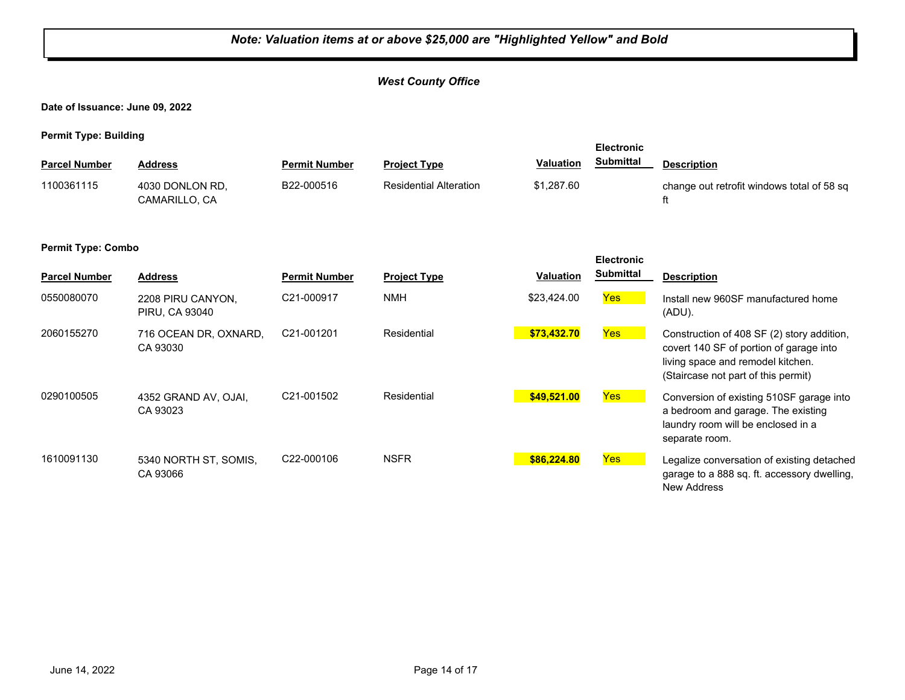#### *West County Office*

**Date of Issuance: June 09, 2022**

**Permit Type: Building**

|                           |                                     |                         |                               |                  | <b>Electronic</b> |                                                                                                                                                                   |
|---------------------------|-------------------------------------|-------------------------|-------------------------------|------------------|-------------------|-------------------------------------------------------------------------------------------------------------------------------------------------------------------|
| <b>Parcel Number</b>      | <b>Address</b>                      | <b>Permit Number</b>    | <b>Project Type</b>           | <b>Valuation</b> | <b>Submittal</b>  | <b>Description</b>                                                                                                                                                |
| 1100361115                | 4030 DONLON RD,<br>CAMARILLO, CA    | B22-000516              | <b>Residential Alteration</b> | \$1,287.60       |                   | change out retrofit windows total of 58 sq<br>ft                                                                                                                  |
| <b>Permit Type: Combo</b> |                                     |                         |                               |                  | <b>Electronic</b> |                                                                                                                                                                   |
| <b>Parcel Number</b>      | <b>Address</b>                      | <b>Permit Number</b>    | <b>Project Type</b>           | <b>Valuation</b> | <b>Submittal</b>  | <b>Description</b>                                                                                                                                                |
| 0550080070                | 2208 PIRU CANYON,<br>PIRU, CA 93040 | C21-000917              | <b>NMH</b>                    | \$23,424.00      | <b>Yes</b>        | Install new 960SF manufactured home<br>(ADU).                                                                                                                     |
| 2060155270                | 716 OCEAN DR, OXNARD,<br>CA 93030   | C21-001201              | Residential                   | \$73,432.70      | <b>Yes</b>        | Construction of 408 SF (2) story addition,<br>covert 140 SF of portion of garage into<br>living space and remodel kitchen.<br>(Staircase not part of this permit) |
| 0290100505                | 4352 GRAND AV, OJAI,<br>CA 93023    | C <sub>21</sub> -001502 | Residential                   | \$49,521.00      | Yes               | Conversion of existing 510SF garage into<br>a bedroom and garage. The existing<br>laundry room will be enclosed in a<br>separate room.                            |
| 1610091130                | 5340 NORTH ST, SOMIS,<br>CA 93066   | C22-000106              | <b>NSFR</b>                   | \$86,224.80      | Yes               | Legalize conversation of existing detached<br>garage to a 888 sq. ft. accessory dwelling,<br><b>New Address</b>                                                   |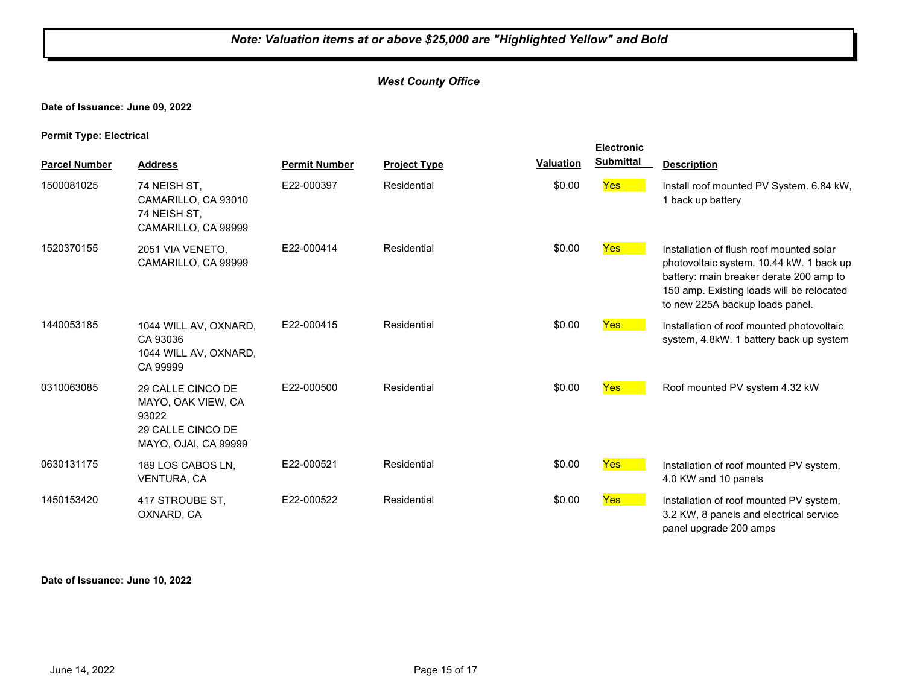#### *West County Office*

#### **Date of Issuance: June 09, 2022**

**Permit Type: Electrical**

| <b>Parcel Number</b> | <b>Address</b>                                                                                | <b>Permit Number</b> | <b>Project Type</b> | <b>Valuation</b> | <b>Electronic</b><br><b>Submittal</b> | <b>Description</b>                                                                                                                                                                                              |
|----------------------|-----------------------------------------------------------------------------------------------|----------------------|---------------------|------------------|---------------------------------------|-----------------------------------------------------------------------------------------------------------------------------------------------------------------------------------------------------------------|
| 1500081025           | 74 NEISH ST,<br>CAMARILLO, CA 93010<br>74 NEISH ST,<br>CAMARILLO, CA 99999                    | E22-000397           | Residential         | \$0.00           | Yes                                   | Install roof mounted PV System. 6.84 kW,<br>1 back up battery                                                                                                                                                   |
| 1520370155           | 2051 VIA VENETO,<br>CAMARILLO, CA 99999                                                       | E22-000414           | Residential         | \$0.00           | <b>Yes</b>                            | Installation of flush roof mounted solar<br>photovoltaic system, 10.44 kW. 1 back up<br>battery: main breaker derate 200 amp to<br>150 amp. Existing loads will be relocated<br>to new 225A backup loads panel. |
| 1440053185           | 1044 WILL AV, OXNARD,<br>CA 93036<br>1044 WILL AV, OXNARD,<br>CA 99999                        | E22-000415           | Residential         | \$0.00           | <b>Yes</b>                            | Installation of roof mounted photovoltaic<br>system, 4.8kW. 1 battery back up system                                                                                                                            |
| 0310063085           | 29 CALLE CINCO DE<br>MAYO, OAK VIEW, CA<br>93022<br>29 CALLE CINCO DE<br>MAYO, OJAI, CA 99999 | E22-000500           | Residential         | \$0.00           | Yes                                   | Roof mounted PV system 4.32 kW                                                                                                                                                                                  |
| 0630131175           | 189 LOS CABOS LN,<br><b>VENTURA, CA</b>                                                       | E22-000521           | Residential         | \$0.00           | Yes                                   | Installation of roof mounted PV system,<br>4.0 KW and 10 panels                                                                                                                                                 |
| 1450153420           | 417 STROUBE ST,<br>OXNARD, CA                                                                 | E22-000522           | Residential         | \$0.00           | <b>Yes</b>                            | Installation of roof mounted PV system,<br>3.2 KW, 8 panels and electrical service<br>panel upgrade 200 amps                                                                                                    |

#### **Date of Issuance: June 10, 2022**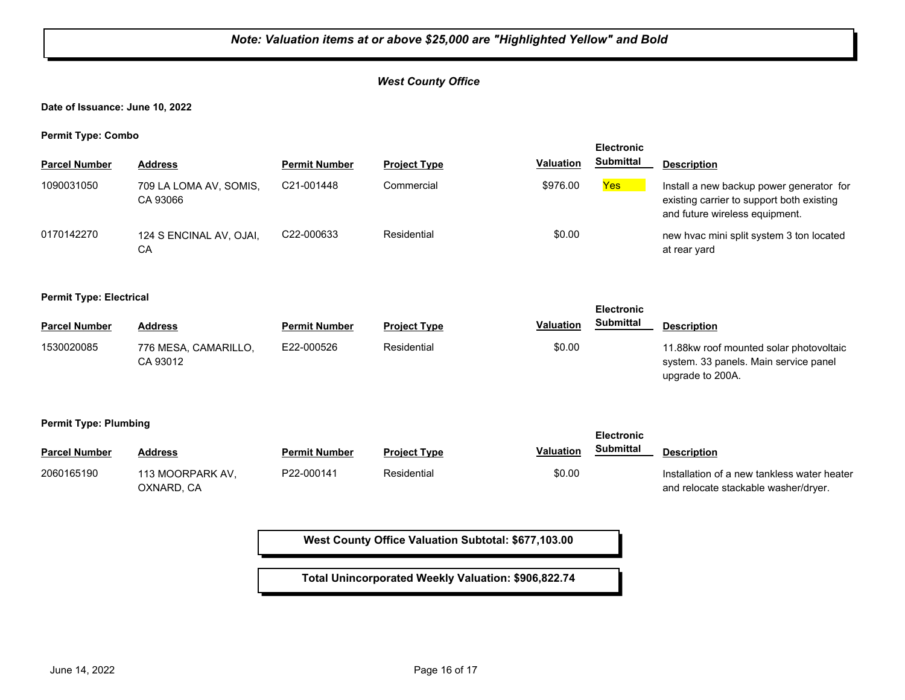#### *West County Office*

**Date of Issuance: June 10, 2022**

**Permit Type: Combo**

| . .                  |                                    |                         |                     |                  | <b>Electronic</b> |                                                                                                                         |
|----------------------|------------------------------------|-------------------------|---------------------|------------------|-------------------|-------------------------------------------------------------------------------------------------------------------------|
| <b>Parcel Number</b> | <b>Address</b>                     | <b>Permit Number</b>    | <b>Project Type</b> | <b>Valuation</b> | <b>Submittal</b>  | <b>Description</b>                                                                                                      |
| 1090031050           | 709 LA LOMA AV, SOMIS,<br>CA 93066 | C21-001448              | Commercial          | \$976.00         | Yes               | Install a new backup power generator for<br>existing carrier to support both existing<br>and future wireless equipment. |
| 0170142270           | 124 S ENCINAL AV, OJAI,<br>CА      | C <sub>22</sub> -000633 | Residential         | \$0.00           |                   | new hyac mini split system 3 ton located<br>at rear yard                                                                |

**Permit Type: Electrical**

| . .                  |                                  |                      |                     |                  | <b>Electronic</b> |                                                                                                      |
|----------------------|----------------------------------|----------------------|---------------------|------------------|-------------------|------------------------------------------------------------------------------------------------------|
| <b>Parcel Number</b> | Address                          | <b>Permit Number</b> | <b>Project Type</b> | <b>Valuation</b> | Submittal         | <b>Description</b>                                                                                   |
| 1530020085           | 776 MESA, CAMARILLO,<br>CA 93012 | E22-000526           | Residential         | \$0.00           |                   | 11.88kw roof mounted solar photovoltaic<br>system. 33 panels. Main service panel<br>upgrade to 200A. |

**Permit Type: Plumbing**

| $ -$                 |                                |                      |                     | <b>Electronic</b>             |                                                                                     |
|----------------------|--------------------------------|----------------------|---------------------|-------------------------------|-------------------------------------------------------------------------------------|
| <b>Parcel Number</b> | Address                        | <b>Permit Number</b> | <b>Project Type</b> | Submittal<br><b>Valuation</b> | <b>Description</b>                                                                  |
| 2060165190           | 113 MOORPARK AV.<br>OXNARD. CA | P22-000141           | Residential         | \$0.00                        | Installation of a new tankless water heater<br>and relocate stackable washer/dryer. |

**West County Office Valuation Subtotal: \$677,103.00**

**Total Unincorporated Weekly Valuation: \$906,822.74**